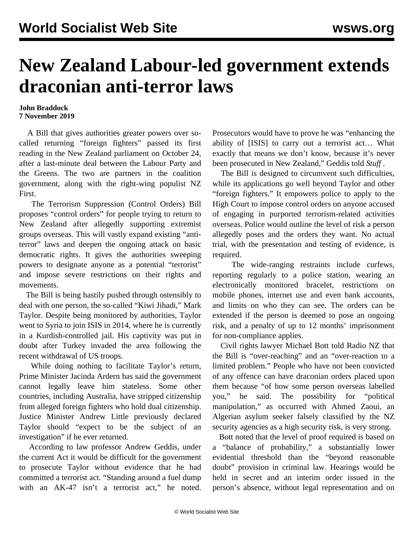## **New Zealand Labour-led government extends draconian anti-terror laws**

## **John Braddock 7 November 2019**

 A Bill that gives authorities greater powers over socalled returning "foreign fighters" passed its first reading in the New Zealand parliament on October 24, after a last-minute deal between the Labour Party and the Greens. The two are partners in the coalition government, along with the right-wing populist NZ First.

 The Terrorism Suppression (Control Orders) Bill proposes "control orders" for people trying to return to New Zealand after allegedly supporting extremist groups overseas. This will vastly expand existing "antiterror" laws and deepen the ongoing attack on basic democratic rights. It gives the authorities sweeping powers to designate anyone as a potential "terrorist" and impose severe restrictions on their rights and movements.

 The Bill is being hastily pushed through ostensibly to deal with one person, the so-called "Kiwi Jihadi," Mark Taylor. Despite being monitored by authorities, Taylor went to Syria to join ISIS in 2014, where he is currently in a Kurdish-controlled jail. His captivity was put in doubt after Turkey invaded the area following the recent withdrawal of US troops.

 While doing nothing to facilitate Taylor's return, Prime Minister Jacinda Ardern has said the government cannot legally leave him stateless. Some other countries, including Australia, have stripped citizenship from alleged foreign fighters who hold dual citizenship. Justice Minister Andrew Little previously declared Taylor should "expect to be the subject of an investigation" if he ever returned.

 According to law professor Andrew Geddis, under the current Act it would be difficult for the government to prosecute Taylor without evidence that he had committed a terrorist act. "Standing around a fuel dump with an AK-47 isn't a terrorist act," he noted.

Prosecutors would have to prove he was "enhancing the ability of [ISIS] to carry out a terrorist act… What exactly that means we don't know, because it's never been prosecuted in New Zealand," Geddis told *Stuff* .

 The Bill is designed to circumvent such difficulties, while its applications go well beyond Taylor and other "foreign fighters." It empowers police to apply to the High Court to impose control orders on anyone accused of engaging in purported terrorism-related activities overseas. Police would outline the level of risk a person allegedly poses and the orders they want. No actual trial, with the presentation and testing of evidence, is required.

 The wide-ranging restraints include curfews, reporting regularly to a police station, wearing an electronically monitored bracelet, restrictions on mobile phones, internet use and even bank accounts, and limits on who they can see. The orders can be extended if the person is deemed to pose an ongoing risk, and a penalty of up to 12 months' imprisonment for non-compliance applies.

 Civil rights lawyer Michael Bott told Radio NZ that the Bill is "over-reaching" and an "over-reaction to a limited problem." People who have not been convicted of any offence can have draconian orders placed upon them because "of how some person overseas labelled you," he said. The possibility for "political manipulation," as occurred with [Ahmed](/en/articles/2007/10/newz-o16.html) [Zaoui, an](/en/articles/2007/10/newz-o16.html) [Algerian asylum seeker falsely classified by the NZ](/en/articles/2007/10/newz-o16.html) [security agencies as a high security risk, is very strong.](/en/articles/2007/10/newz-o16.html)

 Bott noted that the level of proof required is based on a "balance of probability," a substantially lower evidential threshold than the "beyond reasonable doubt" provision in criminal law. Hearings would be held in secret and an interim order issued in the person's absence, without legal representation and on